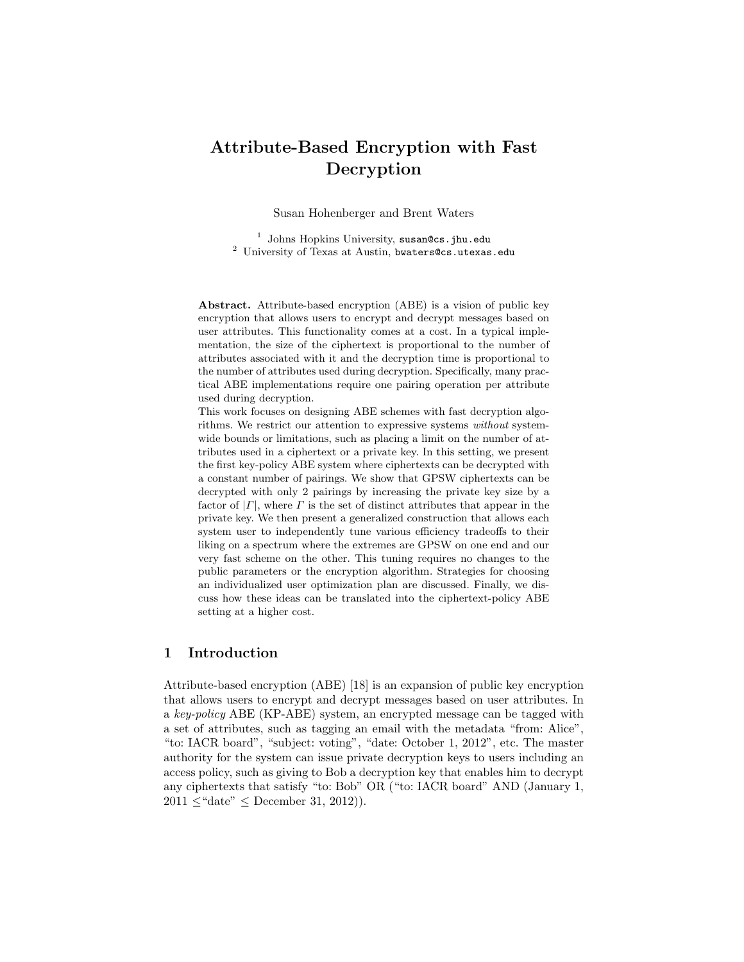# Attribute-Based Encryption with Fast Decryption

Susan Hohenberger and Brent Waters

<sup>1</sup> Johns Hopkins University, susan@cs.jhu.edu <sup>2</sup> University of Texas at Austin, bwaters@cs.utexas.edu

Abstract. Attribute-based encryption (ABE) is a vision of public key encryption that allows users to encrypt and decrypt messages based on user attributes. This functionality comes at a cost. In a typical implementation, the size of the ciphertext is proportional to the number of attributes associated with it and the decryption time is proportional to the number of attributes used during decryption. Specifically, many practical ABE implementations require one pairing operation per attribute used during decryption.

This work focuses on designing ABE schemes with fast decryption algorithms. We restrict our attention to expressive systems without systemwide bounds or limitations, such as placing a limit on the number of attributes used in a ciphertext or a private key. In this setting, we present the first key-policy ABE system where ciphertexts can be decrypted with a constant number of pairings. We show that GPSW ciphertexts can be decrypted with only 2 pairings by increasing the private key size by a factor of  $|\Gamma|$ , where  $\Gamma$  is the set of distinct attributes that appear in the private key. We then present a generalized construction that allows each system user to independently tune various efficiency tradeoffs to their liking on a spectrum where the extremes are GPSW on one end and our very fast scheme on the other. This tuning requires no changes to the public parameters or the encryption algorithm. Strategies for choosing an individualized user optimization plan are discussed. Finally, we discuss how these ideas can be translated into the ciphertext-policy ABE setting at a higher cost.

# 1 Introduction

Attribute-based encryption (ABE) [18] is an expansion of public key encryption that allows users to encrypt and decrypt messages based on user attributes. In a key-policy ABE (KP-ABE) system, an encrypted message can be tagged with a set of attributes, such as tagging an email with the metadata "from: Alice", "to: IACR board", "subject: voting", "date: October 1, 2012", etc. The master authority for the system can issue private decryption keys to users including an access policy, such as giving to Bob a decryption key that enables him to decrypt any ciphertexts that satisfy "to: Bob" OR ("to: IACR board" AND (January 1,  $2011 \leq "date" \leq December 31, 2012).$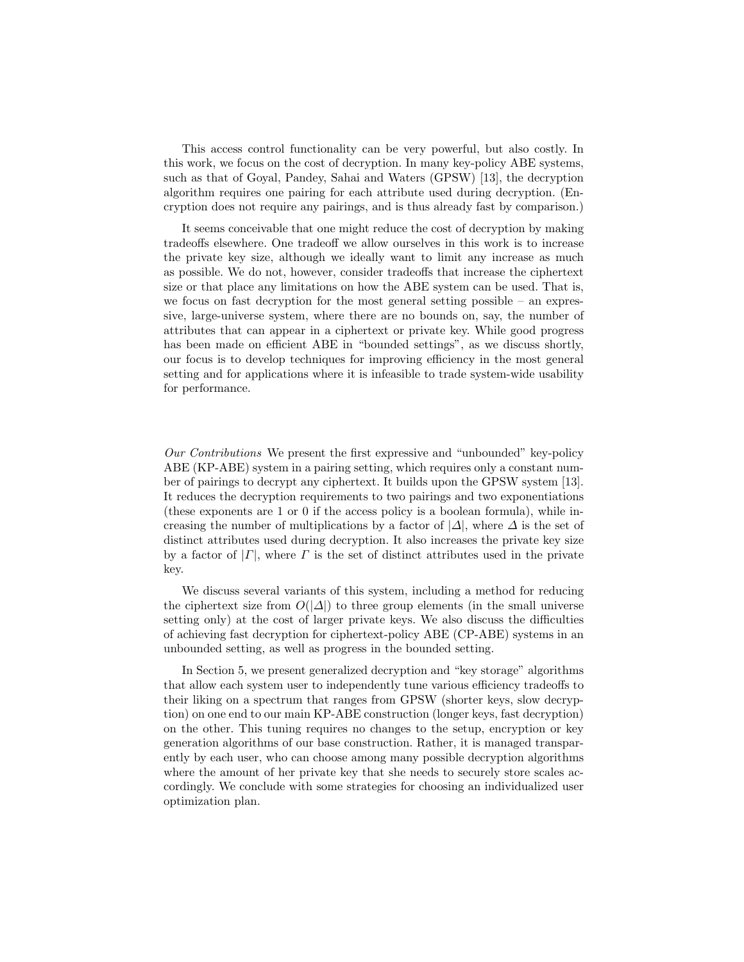This access control functionality can be very powerful, but also costly. In this work, we focus on the cost of decryption. In many key-policy ABE systems, such as that of Goyal, Pandey, Sahai and Waters (GPSW) [13], the decryption algorithm requires one pairing for each attribute used during decryption. (Encryption does not require any pairings, and is thus already fast by comparison.)

It seems conceivable that one might reduce the cost of decryption by making tradeoffs elsewhere. One tradeoff we allow ourselves in this work is to increase the private key size, although we ideally want to limit any increase as much as possible. We do not, however, consider tradeoffs that increase the ciphertext size or that place any limitations on how the ABE system can be used. That is, we focus on fast decryption for the most general setting possible – an expressive, large-universe system, where there are no bounds on, say, the number of attributes that can appear in a ciphertext or private key. While good progress has been made on efficient ABE in "bounded settings", as we discuss shortly, our focus is to develop techniques for improving efficiency in the most general setting and for applications where it is infeasible to trade system-wide usability for performance.

Our Contributions We present the first expressive and "unbounded" key-policy ABE (KP-ABE) system in a pairing setting, which requires only a constant number of pairings to decrypt any ciphertext. It builds upon the GPSW system [13]. It reduces the decryption requirements to two pairings and two exponentiations (these exponents are 1 or 0 if the access policy is a boolean formula), while increasing the number of multiplications by a factor of  $|\Delta|$ , where  $\Delta$  is the set of distinct attributes used during decryption. It also increases the private key size by a factor of  $|\Gamma|$ , where  $\Gamma$  is the set of distinct attributes used in the private key.

We discuss several variants of this system, including a method for reducing the ciphertext size from  $O(|\Delta|)$  to three group elements (in the small universe setting only) at the cost of larger private keys. We also discuss the difficulties of achieving fast decryption for ciphertext-policy ABE (CP-ABE) systems in an unbounded setting, as well as progress in the bounded setting.

In Section 5, we present generalized decryption and "key storage" algorithms that allow each system user to independently tune various efficiency tradeoffs to their liking on a spectrum that ranges from GPSW (shorter keys, slow decryption) on one end to our main KP-ABE construction (longer keys, fast decryption) on the other. This tuning requires no changes to the setup, encryption or key generation algorithms of our base construction. Rather, it is managed transparently by each user, who can choose among many possible decryption algorithms where the amount of her private key that she needs to securely store scales accordingly. We conclude with some strategies for choosing an individualized user optimization plan.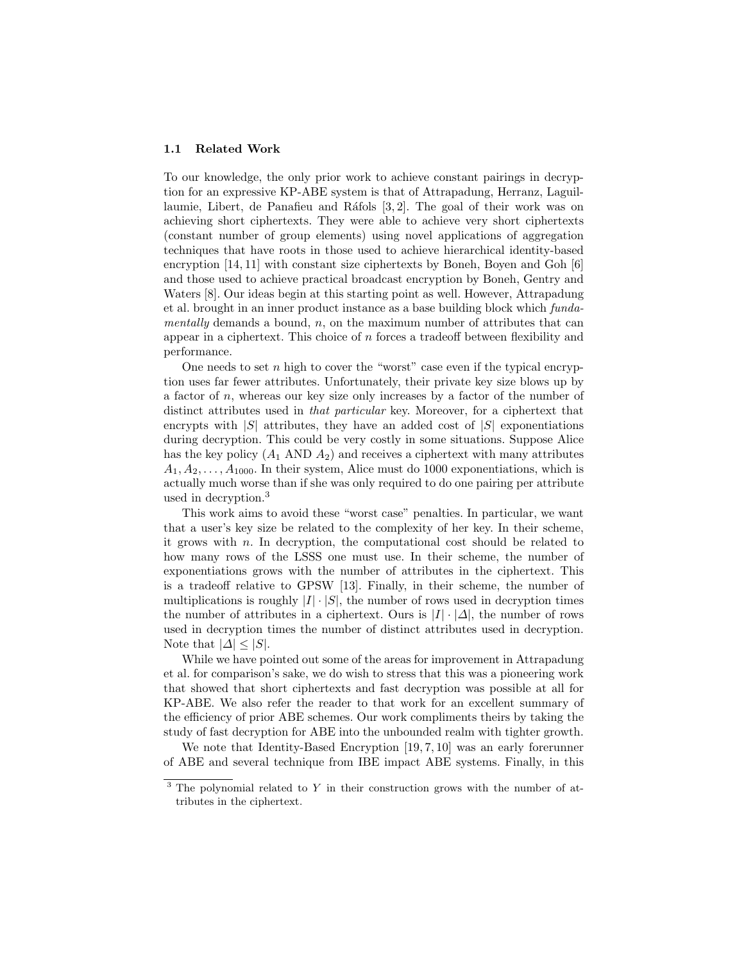#### 1.1 Related Work

To our knowledge, the only prior work to achieve constant pairings in decryption for an expressive KP-ABE system is that of Attrapadung, Herranz, Laguillaumie, Libert, de Panafieu and Ráfols [3, 2]. The goal of their work was on achieving short ciphertexts. They were able to achieve very short ciphertexts (constant number of group elements) using novel applications of aggregation techniques that have roots in those used to achieve hierarchical identity-based encryption [14, 11] with constant size ciphertexts by Boneh, Boyen and Goh [6] and those used to achieve practical broadcast encryption by Boneh, Gentry and Waters [8]. Our ideas begin at this starting point as well. However, Attrapadung et al. brought in an inner product instance as a base building block which fundamentally demands a bound,  $n$ , on the maximum number of attributes that can appear in a ciphertext. This choice of  $n$  forces a tradeoff between flexibility and performance.

One needs to set  $n$  high to cover the "worst" case even if the typical encryption uses far fewer attributes. Unfortunately, their private key size blows up by a factor of n, whereas our key size only increases by a factor of the number of distinct attributes used in that particular key. Moreover, for a ciphertext that encrypts with  $|S|$  attributes, they have an added cost of  $|S|$  exponentiations during decryption. This could be very costly in some situations. Suppose Alice has the key policy  $(A_1 \text{ AND } A_2)$  and receives a ciphertext with many attributes  $A_1, A_2, \ldots, A_{1000}$ . In their system, Alice must do 1000 exponentiations, which is actually much worse than if she was only required to do one pairing per attribute used in decryption.<sup>3</sup>

This work aims to avoid these "worst case" penalties. In particular, we want that a user's key size be related to the complexity of her key. In their scheme, it grows with  $n$ . In decryption, the computational cost should be related to how many rows of the LSSS one must use. In their scheme, the number of exponentiations grows with the number of attributes in the ciphertext. This is a tradeoff relative to GPSW [13]. Finally, in their scheme, the number of multiplications is roughly  $|I| \cdot |S|$ , the number of rows used in decryption times the number of attributes in a ciphertext. Ours is  $|I| \cdot |\Delta|$ , the number of rows used in decryption times the number of distinct attributes used in decryption. Note that  $|\Delta| < |S|$ .

While we have pointed out some of the areas for improvement in Attrapadung et al. for comparison's sake, we do wish to stress that this was a pioneering work that showed that short ciphertexts and fast decryption was possible at all for KP-ABE. We also refer the reader to that work for an excellent summary of the efficiency of prior ABE schemes. Our work compliments theirs by taking the study of fast decryption for ABE into the unbounded realm with tighter growth.

We note that Identity-Based Encryption [19, 7, 10] was an early forerunner of ABE and several technique from IBE impact ABE systems. Finally, in this

 $3$  The polynomial related to Y in their construction grows with the number of attributes in the ciphertext.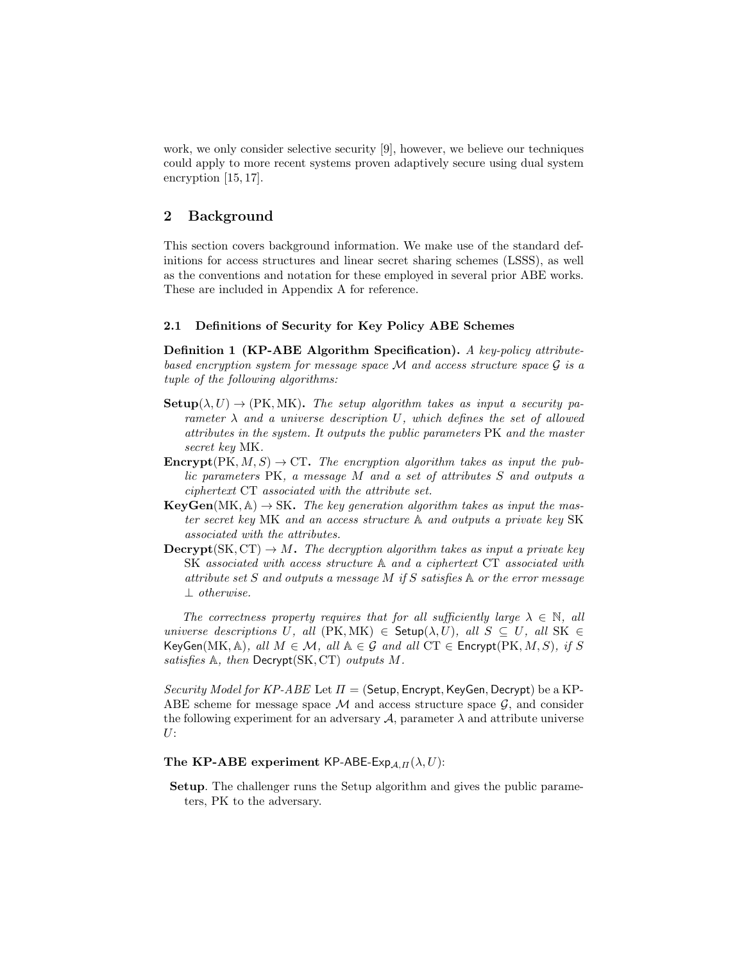work, we only consider selective security [9], however, we believe our techniques could apply to more recent systems proven adaptively secure using dual system encryption [15, 17].

# 2 Background

This section covers background information. We make use of the standard definitions for access structures and linear secret sharing schemes (LSSS), as well as the conventions and notation for these employed in several prior ABE works. These are included in Appendix A for reference.

#### 2.1 Definitions of Security for Key Policy ABE Schemes

Definition 1 (KP-ABE Algorithm Specification). A key-policy attributebased encryption system for message space  $\mathcal M$  and access structure space  $\mathcal G$  is a tuple of the following algorithms:

- **Setup**( $\lambda, U$ )  $\rightarrow$  (PK, MK). The setup algorithm takes as input a security parameter  $\lambda$  and a universe description U, which defines the set of allowed attributes in the system. It outputs the public parameters PK and the master secret key MK.
- **Encrypt**(PK, M, S)  $\rightarrow$  CT. The encryption algorithm takes as input the public parameters PK, a message M and a set of attributes S and outputs a ciphertext CT associated with the attribute set.
- $KeyGen(MK, A) \rightarrow SK$ . The key generation algorithm takes as input the master secret key MK and an access structure A and outputs a private key SK associated with the attributes.
- **Decrypt**(SK, CT)  $\rightarrow$  M. The decryption algorithm takes as input a private key SK associated with access structure A and a ciphertext CT associated with attribute set  $S$  and outputs a message  $M$  if  $S$  satisfies  $\mathbb A$  or the error message ⊥ otherwise.

The correctness property requires that for all sufficiently large  $\lambda \in \mathbb{N}$ , all universe descriptions U, all (PK, MK)  $\in$  Setup( $\lambda$ , U), all  $S \subseteq U$ , all SK  $\in$ KeyGen(MK, A), all  $M \in \mathcal{M}$ , all  $A \in \mathcal{G}$  and all  $CT \in \mathsf{Encrypt}(\mathsf{PK}, M, S)$ , if S satisfies  $A$ , then Decrypt $(SK, CT)$  outputs  $M$ .

Security Model for KP-ABE Let  $\Pi$  = (Setup, Encrypt, KeyGen, Decrypt) be a KP-ABE scheme for message space  $\mathcal M$  and access structure space  $\mathcal G$ , and consider the following experiment for an adversary  $\mathcal{A}$ , parameter  $\lambda$  and attribute universe  $U:$ 

#### The KP-ABE experiment KP-ABE-Exp<sub>A, $\Pi$ </sub> $(\lambda, U)$ :

Setup. The challenger runs the Setup algorithm and gives the public parameters, PK to the adversary.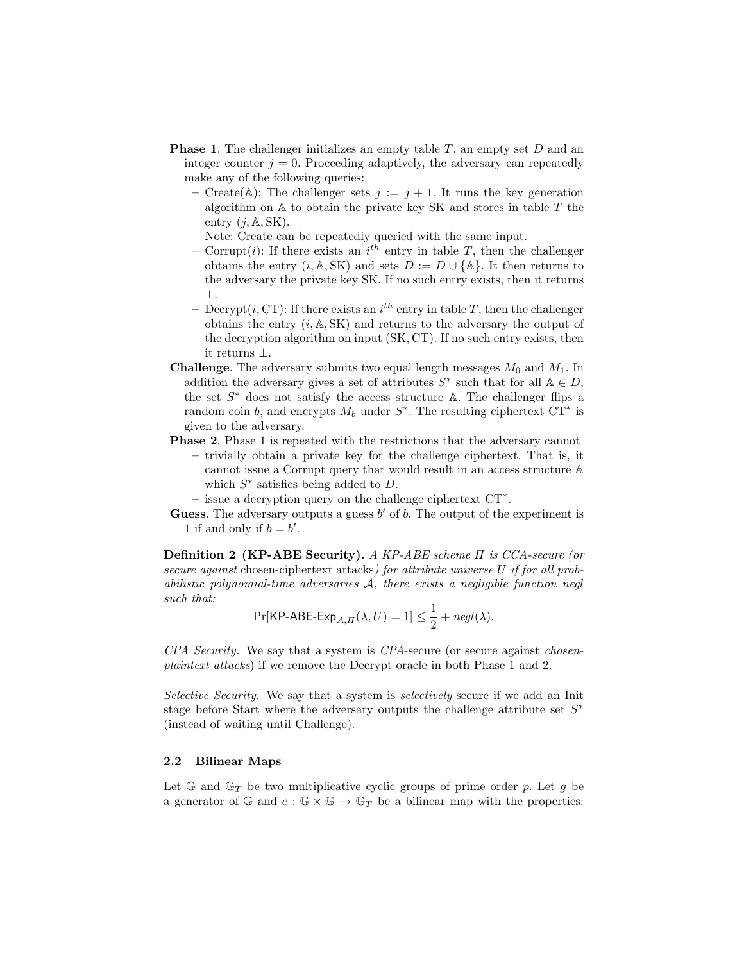- **Phase 1.** The challenger initializes an empty table  $T$ , an empty set  $D$  and an integer counter  $j = 0$ . Proceeding adaptively, the adversary can repeatedly make any of the following queries:
	- Create(A): The challenger sets  $j := j + 1$ . It runs the key generation algorithm on  $A$  to obtain the private key SK and stores in table  $T$  the entry  $(j, A, SK)$ .

Note: Create can be repeatedly queried with the same input.

- Corrupt(i): If there exists an  $i<sup>th</sup>$  entry in table T, then the challenger obtains the entry  $(i, A, SK)$  and sets  $D := D \cup \{A\}$ . It then returns to the adversary the private key SK. If no such entry exists, then it returns ⊥.
- Decrypt(*i*, CT): If there exists an  $i^{th}$  entry in table T, then the challenger obtains the entry  $(i, A, SK)$  and returns to the adversary the output of the decryption algorithm on input (SK, CT). If no such entry exists, then it returns ⊥.
- **Challenge**. The adversary submits two equal length messages  $M_0$  and  $M_1$ . In addition the adversary gives a set of attributes  $S^*$  such that for all  $A \in D$ , the set  $S^*$  does not satisfy the access structure A. The challenger flips a random coin b, and encrypts  $M_b$  under  $S^*$ . The resulting ciphertext  $CT^*$  is given to the adversary.
- **Phase 2.** Phase 1 is repeated with the restrictions that the adversary cannot
	- trivially obtain a private key for the challenge ciphertext. That is, it cannot issue a Corrupt query that would result in an access structure A which  $S^*$  satisfies being added to  $D$ .
	- issue a decryption query on the challenge ciphertext CT<sup>∗</sup> .
- Guess. The adversary outputs a guess  $b'$  of  $b$ . The output of the experiment is 1 if and only if  $b = b'$ .

Definition 2 (KP-ABE Security). A KP-ABE scheme Π is CCA-secure (or secure against chosen-ciphertext attacks) for attribute universe  $U$  if for all probabilistic polynomial-time adversaries A, there exists a negligible function negl such that:

$$
\Pr[\mathsf{KP-ABE-Exp}_{\mathcal{A},\varPi}(\lambda,U)=1]\leq \frac{1}{2}+\mathit{negl}(\lambda).
$$

CPA Security. We say that a system is CPA-secure (or secure against chosenplaintext attacks) if we remove the Decrypt oracle in both Phase 1 and 2.

Selective Security. We say that a system is selectively secure if we add an Init stage before Start where the adversary outputs the challenge attribute set  $S^*$ (instead of waiting until Challenge).

## 2.2 Bilinear Maps

Let  $\mathbb{G}$  and  $\mathbb{G}_T$  be two multiplicative cyclic groups of prime order p. Let g be a generator of G and  $e : \mathbb{G} \times \mathbb{G} \to \mathbb{G}_T$  be a bilinear map with the properties: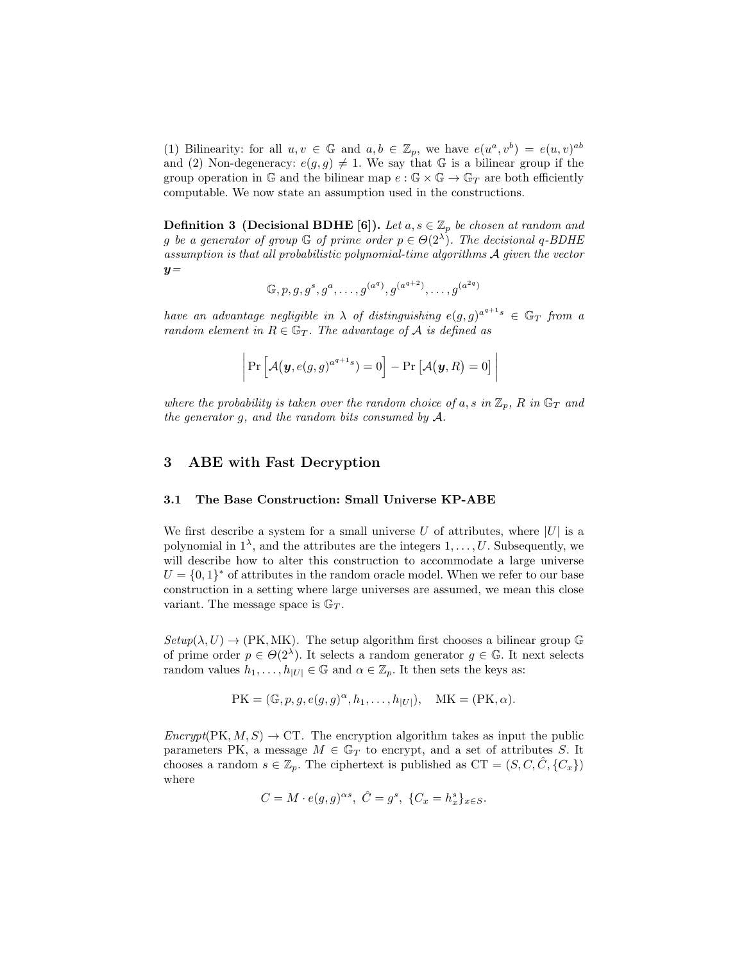(1) Bilinearity: for all  $u, v \in \mathbb{G}$  and  $a, b \in \mathbb{Z}_p$ , we have  $e(u^a, v^b) = e(u, v)^{ab}$ and (2) Non-degeneracy:  $e(g, g) \neq 1$ . We say that G is a bilinear group if the group operation in G and the bilinear map  $e : \mathbb{G} \times \mathbb{G} \to \mathbb{G}_T$  are both efficiently computable. We now state an assumption used in the constructions.

**Definition 3** (Decisional BDHE [6]). Let  $a, s \in \mathbb{Z}_p$  be chosen at random and g be a generator of group G of prime order  $p \in \Theta(2^{\lambda})$ . The decisional q-BDHE assumption is that all probabilistic polynomial-time algorithms A given the vector  $y=$ 

$$
\mathbb{G}, p, g, g^s, g^a, \dots, g^{(a^q)}, g^{(a^{q+2})}, \dots, g^{(a^{2q})}
$$

have an advantage negligible in  $\lambda$  of distinguishing  $e(g,g)^{a^{q+1}s} \in \mathbb{G}_T$  from a random element in  $R \in \mathbb{G}_T$ . The advantage of A is defined as

$$
\left|\Pr\left[\mathcal{A}(\boldsymbol{y}, e(g, g)^{a^{q+1}s})=0\right]-\Pr\left[\mathcal{A}(\boldsymbol{y}, R)=0\right]\right|
$$

where the probability is taken over the random choice of a, s in  $\mathbb{Z}_p$ , R in  $\mathbb{G}_T$  and the generator g, and the random bits consumed by A.

# 3 ABE with Fast Decryption

#### 3.1 The Base Construction: Small Universe KP-ABE

We first describe a system for a small universe U of attributes, where  $|U|$  is a polynomial in  $1^{\lambda}$ , and the attributes are the integers  $1, \ldots, U$ . Subsequently, we will describe how to alter this construction to accommodate a large universe  $U = \{0,1\}^*$  of attributes in the random oracle model. When we refer to our base construction in a setting where large universes are assumed, we mean this close variant. The message space is  $\mathbb{G}_T$ .

 $Setup(\lambda, U) \rightarrow (PK, MK)$ . The setup algorithm first chooses a bilinear group G of prime order  $p \in \Theta(2^{\lambda})$ . It selects a random generator  $g \in \mathbb{G}$ . It next selects random values  $h_1, \ldots, h_{|U|} \in \mathbb{G}$  and  $\alpha \in \mathbb{Z}_p$ . It then sets the keys as:

$$
PK = (\mathbb{G}, p, g, e(g, g)^{\alpha}, h_1, \dots, h_{|U|}), \quad MK = (PK, \alpha).
$$

 $\text{Encrypt}(\text{PK}, M, S) \to \text{CT}$ . The encryption algorithm takes as input the public parameters PK, a message  $M \in \mathbb{G}_T$  to encrypt, and a set of attributes S. It chooses a random  $s \in \mathbb{Z}_p$ . The ciphertext is published as  $CT = (S, C, C, \{C_x\})$ where

$$
C = M \cdot e(g, g)^{\alpha s}, \ \hat{C} = g^s, \ \{C_x = h_x^s\}_{x \in S}.
$$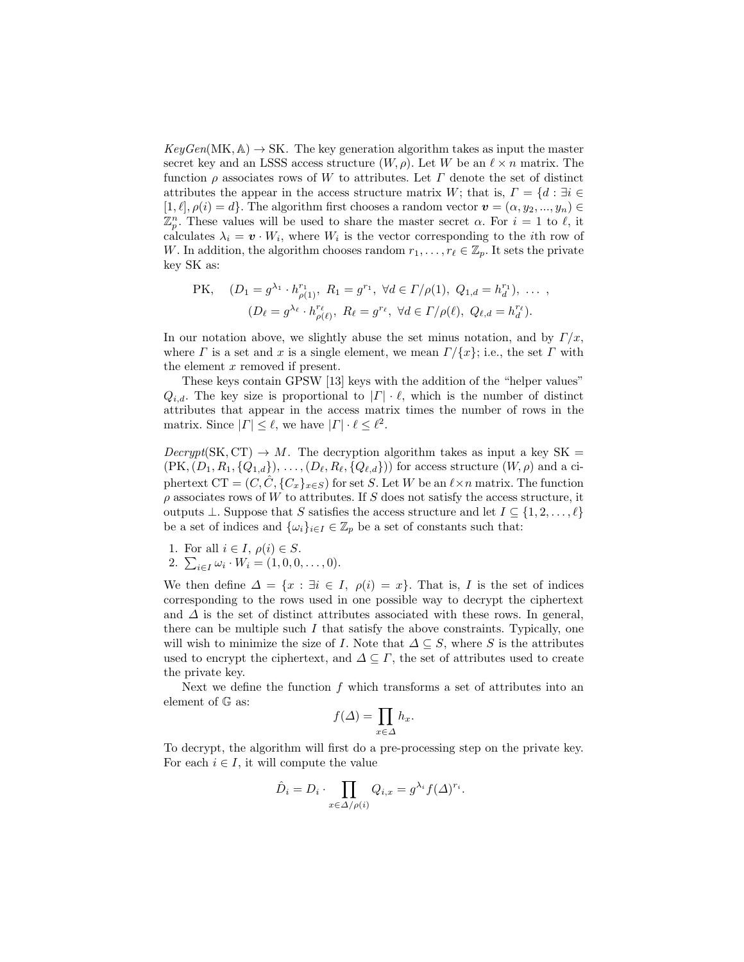$KeyGen(MK, \mathbb{A}) \rightarrow SK$ . The key generation algorithm takes as input the master secret key and an LSSS access structure  $(W, \rho)$ . Let W be an  $\ell \times n$  matrix. The function  $\rho$  associates rows of W to attributes. Let  $\Gamma$  denote the set of distinct attributes the appear in the access structure matrix W; that is,  $\Gamma = \{d : \exists i \in \mathbb{R}^d : d \in \mathbb{R}^d : d \in \mathbb{R}^d\}$  $[1, \ell], \rho(i) = d$ . The algorithm first chooses a random vector  $\mathbf{v} = (\alpha, y_2, ..., y_n) \in$  $\mathbb{Z}_p^n$ . These values will be used to share the master secret  $\alpha$ . For  $i = 1$  to  $\ell$ , it calculates  $\lambda_i = \boldsymbol{v} \cdot W_i$ , where  $W_i$  is the vector corresponding to the *i*th row of W. In addition, the algorithm chooses random  $r_1, \ldots, r_\ell \in \mathbb{Z}_p$ . It sets the private key SK as:

PK, 
$$
(D_1 = g^{\lambda_1} \cdot h_{\rho(1)}^{r_1}, R_1 = g^{r_1}, \forall d \in \Gamma/\rho(1), Q_{1,d} = h_d^{r_1}), \dots,
$$
  
 $(D_\ell = g^{\lambda_\ell} \cdot h_{\rho(\ell)}^{r_\ell}, R_\ell = g^{r_\ell}, \forall d \in \Gamma/\rho(\ell), Q_{\ell,d} = h_d^{r_\ell}).$ 

In our notation above, we slightly abuse the set minus notation, and by  $\Gamma/x$ , where  $\Gamma$  is a set and x is a single element, we mean  $\Gamma/\{x\}$ ; i.e., the set  $\Gamma$  with the element  $x$  removed if present.

These keys contain GPSW [13] keys with the addition of the "helper values"  $Q_{i,d}$ . The key size is proportional to  $|\Gamma| \cdot \ell$ , which is the number of distinct attributes that appear in the access matrix times the number of rows in the matrix. Since  $|\Gamma| \leq \ell$ , we have  $|\Gamma| \cdot \ell \leq \ell^2$ .

 $Decrypt(SK, CT) \rightarrow M$ . The decryption algorithm takes as input a key SK =  $(PK,(D_1, R_1, {Q_{1,d}}), \ldots, (D_\ell, R_\ell, {Q_{\ell,d}}))$  for access structure  $(W, \rho)$  and a ciphertext  $CT = (C, \hat{C}, \{C_x\}_{x \in S})$  for set S. Let W be an  $\ell \times n$  matrix. The function  $\rho$  associates rows of W to attributes. If S does not satisfy the access structure, it outputs  $\bot$ . Suppose that S satisfies the access structure and let  $I \subseteq \{1, 2, ..., \ell\}$ be a set of indices and  $\{\omega_i\}_{i\in I} \in \mathbb{Z}_p$  be a set of constants such that:

- 1. For all  $i \in I$ ,  $\rho(i) \in S$ .
- 2.  $\sum_{i \in I} \omega_i \cdot W_i = (1, 0, 0, \dots, 0).$

We then define  $\Delta = \{x : \exists i \in I, \rho(i) = x\}$ . That is, I is the set of indices corresponding to the rows used in one possible way to decrypt the ciphertext and  $\Delta$  is the set of distinct attributes associated with these rows. In general, there can be multiple such  $I$  that satisfy the above constraints. Typically, one will wish to minimize the size of I. Note that  $\Delta \subseteq S$ , where S is the attributes used to encrypt the ciphertext, and  $\Delta \subseteq \Gamma$ , the set of attributes used to create the private key.

Next we define the function  $f$  which transforms a set of attributes into an element of G as:

$$
f(\Delta) = \prod_{x \in \Delta} h_x.
$$

To decrypt, the algorithm will first do a pre-processing step on the private key. For each  $i \in I$ , it will compute the value

$$
\hat{D}_i = D_i \cdot \prod_{x \in \Delta/\rho(i)} Q_{i,x} = g^{\lambda_i} f(\Delta)^{r_i}.
$$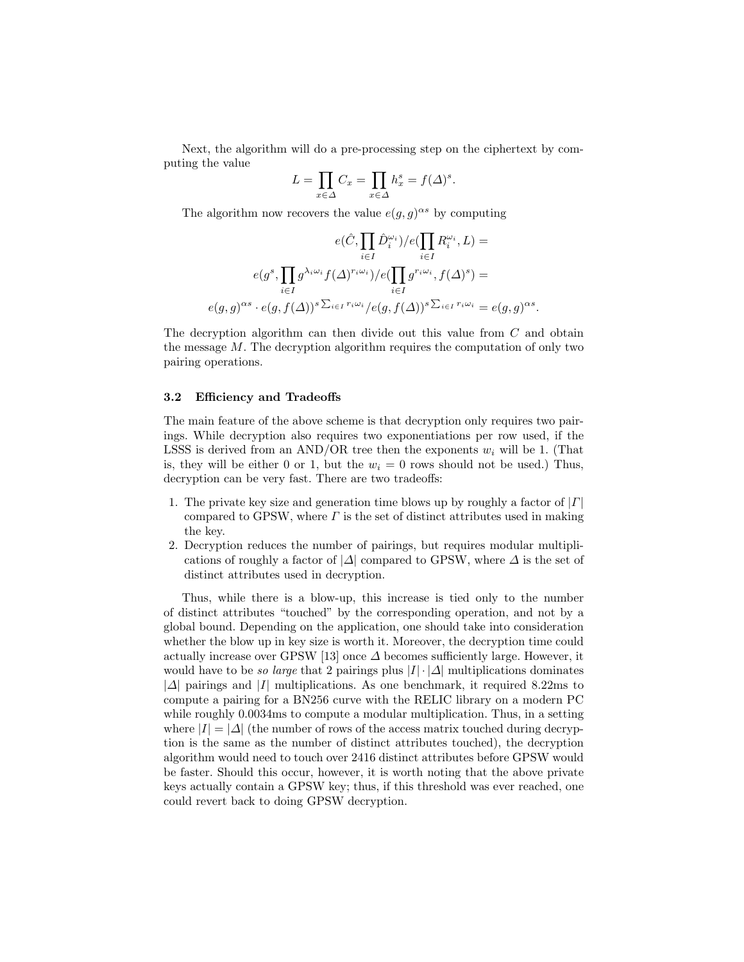Next, the algorithm will do a pre-processing step on the ciphertext by computing the value

$$
L = \prod_{x \in \Delta} C_x = \prod_{x \in \Delta} h_x^s = f(\Delta)^s.
$$

The algorithm now recovers the value  $e(g, g)^{\alpha s}$  by computing

$$
e(\hat{C}, \prod_{i \in I} \hat{D}_i^{\omega_i})/e(\prod_{i \in I} R_i^{\omega_i}, L) =
$$
  

$$
e(g^s, \prod_{i \in I} g^{\lambda_i \omega_i} f(\Delta)^{r_i \omega_i})/e(\prod_{i \in I} g^{r_i \omega_i}, f(\Delta)^s) =
$$
  

$$
e(g, g)^{\alpha s} \cdot e(g, f(\Delta))^s \sum_{i \in I} r_i \omega_i / e(g, f(\Delta))^s \sum_{i \in I} r_i \omega_i = e(g, g)^{\alpha s}.
$$

The decryption algorithm can then divide out this value from C and obtain the message M. The decryption algorithm requires the computation of only two pairing operations.

#### 3.2 Efficiency and Tradeoffs

The main feature of the above scheme is that decryption only requires two pairings. While decryption also requires two exponentiations per row used, if the LSSS is derived from an AND/OR tree then the exponents  $w_i$  will be 1. (That is, they will be either 0 or 1, but the  $w_i = 0$  rows should not be used.) Thus, decryption can be very fast. There are two tradeoffs:

- 1. The private key size and generation time blows up by roughly a factor of  $|\Gamma|$ compared to GPSW, where  $\Gamma$  is the set of distinct attributes used in making the key.
- 2. Decryption reduces the number of pairings, but requires modular multiplications of roughly a factor of  $|\Delta|$  compared to GPSW, where  $\Delta$  is the set of distinct attributes used in decryption.

Thus, while there is a blow-up, this increase is tied only to the number of distinct attributes "touched" by the corresponding operation, and not by a global bound. Depending on the application, one should take into consideration whether the blow up in key size is worth it. Moreover, the decryption time could actually increase over GPSW [13] once  $\Delta$  becomes sufficiently large. However, it would have to be so large that 2 pairings plus  $|I| \cdot |\Delta|$  multiplications dominates  $|\Delta|$  pairings and  $|I|$  multiplications. As one benchmark, it required 8.22ms to compute a pairing for a BN256 curve with the RELIC library on a modern PC while roughly 0.0034ms to compute a modular multiplication. Thus, in a setting where  $|I| = |\Delta|$  (the number of rows of the access matrix touched during decryption is the same as the number of distinct attributes touched), the decryption algorithm would need to touch over 2416 distinct attributes before GPSW would be faster. Should this occur, however, it is worth noting that the above private keys actually contain a GPSW key; thus, if this threshold was ever reached, one could revert back to doing GPSW decryption.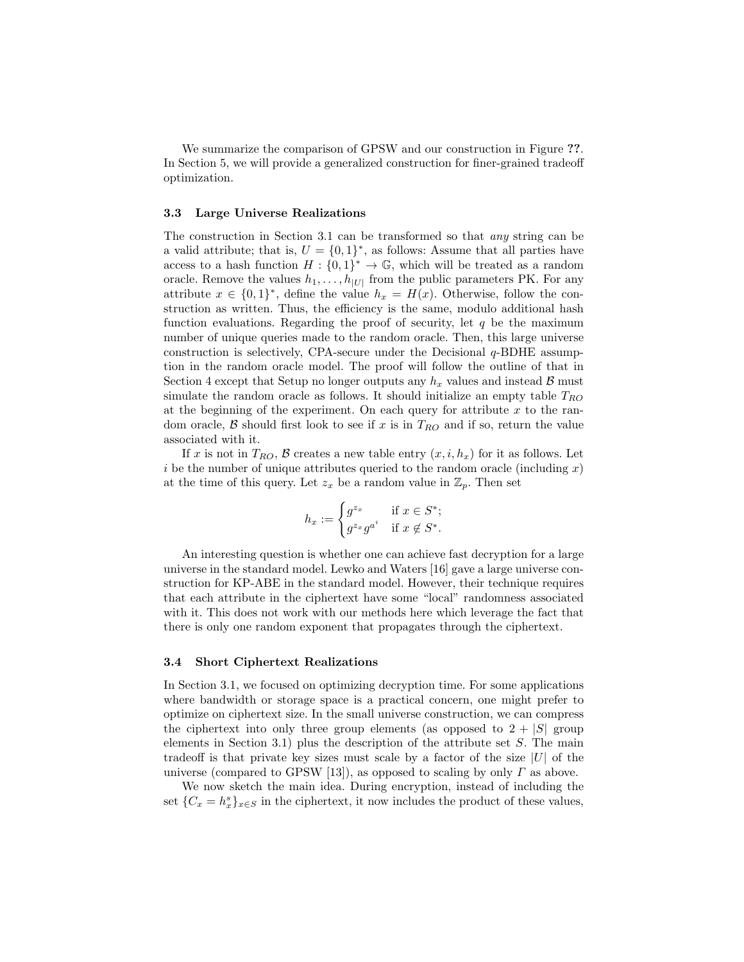We summarize the comparison of GPSW and our construction in Figure ??. In Section 5, we will provide a generalized construction for finer-grained tradeoff optimization.

#### 3.3 Large Universe Realizations

The construction in Section 3.1 can be transformed so that any string can be a valid attribute; that is,  $U = \{0, 1\}^*$ , as follows: Assume that all parties have access to a hash function  $H : \{0,1\}^* \to \mathbb{G}$ , which will be treated as a random oracle. Remove the values  $h_1, \ldots, h_{|U|}$  from the public parameters PK. For any attribute  $x \in \{0,1\}^*$ , define the value  $h_x = H(x)$ . Otherwise, follow the construction as written. Thus, the efficiency is the same, modulo additional hash function evaluations. Regarding the proof of security, let  $q$  be the maximum number of unique queries made to the random oracle. Then, this large universe construction is selectively, CPA-secure under the Decisional  $q$ -BDHE assumption in the random oracle model. The proof will follow the outline of that in Section 4 except that Setup no longer outputs any  $h_x$  values and instead  $\beta$  must simulate the random oracle as follows. It should initialize an empty table  $T_{RO}$ at the beginning of the experiment. On each query for attribute  $x$  to the random oracle,  $\beta$  should first look to see if x is in  $T_{RO}$  and if so, return the value associated with it.

If x is not in  $T_{RO}$ , B creates a new table entry  $(x, i, h_x)$  for it as follows. Let i be the number of unique attributes queried to the random oracle (including  $x$ ) at the time of this query. Let  $z_x$  be a random value in  $\mathbb{Z}_n$ . Then set

$$
h_x := \begin{cases} g^{z_x} & \text{if } x \in S^*; \\ g^{z_x} g^{a^i} & \text{if } x \notin S^*. \end{cases}
$$

An interesting question is whether one can achieve fast decryption for a large universe in the standard model. Lewko and Waters [16] gave a large universe construction for KP-ABE in the standard model. However, their technique requires that each attribute in the ciphertext have some "local" randomness associated with it. This does not work with our methods here which leverage the fact that there is only one random exponent that propagates through the ciphertext.

#### 3.4 Short Ciphertext Realizations

In Section 3.1, we focused on optimizing decryption time. For some applications where bandwidth or storage space is a practical concern, one might prefer to optimize on ciphertext size. In the small universe construction, we can compress the ciphertext into only three group elements (as opposed to  $2 + |S|$  group elements in Section 3.1) plus the description of the attribute set  $S$ . The main tradeoff is that private key sizes must scale by a factor of the size  $|U|$  of the universe (compared to GPSW [13]), as opposed to scaling by only  $\Gamma$  as above.

We now sketch the main idea. During encryption, instead of including the set  ${C_x = h_x^s}_{x \in S}$  in the ciphertext, it now includes the product of these values,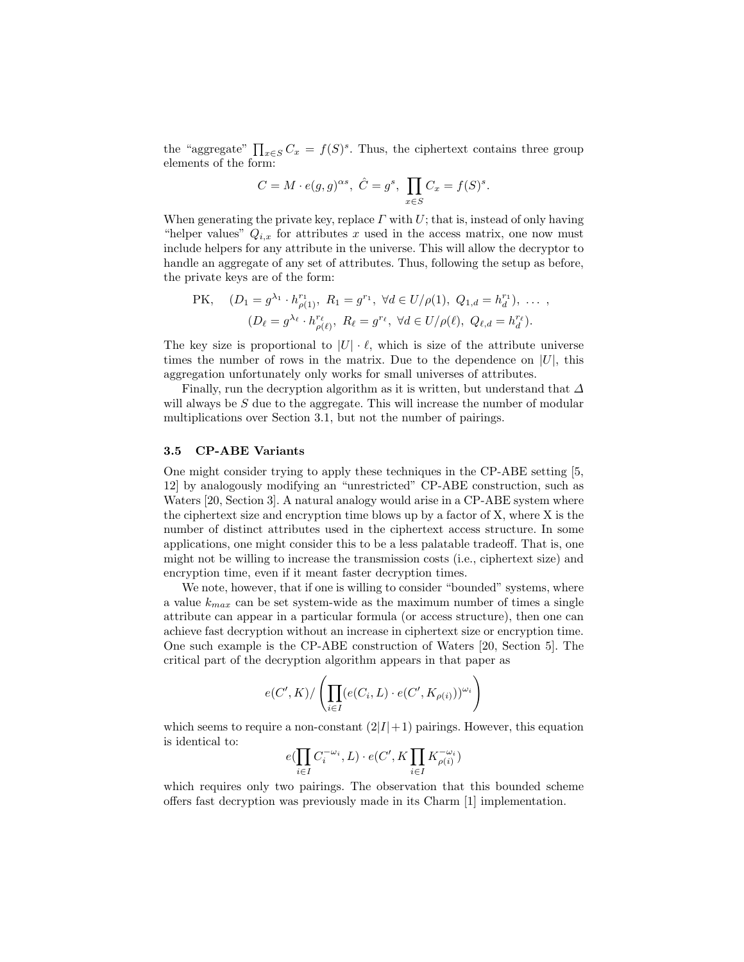the "aggregate"  $\prod_{x \in S} C_x = f(S)^s$ . Thus, the ciphertext contains three group elements of the form:

$$
C = M \cdot e(g, g)^{\alpha s}, \ \hat{C} = g^s, \ \prod_{x \in S} C_x = f(S)^s.
$$

When generating the private key, replace  $\Gamma$  with  $U$ ; that is, instead of only having "helper values"  $Q_{i,x}$  for attributes x used in the access matrix, one now must include helpers for any attribute in the universe. This will allow the decryptor to handle an aggregate of any set of attributes. Thus, following the setup as before, the private keys are of the form:

PK, 
$$
(D_1 = g^{\lambda_1} \cdot h_{\rho(1)}^{r_1}, R_1 = g^{r_1}, \forall d \in U/\rho(1), Q_{1,d} = h_d^{r_1}), \dots,
$$
  
 $(D_\ell = g^{\lambda_\ell} \cdot h_{\rho(\ell)}^{r_\ell}, R_\ell = g^{r_\ell}, \forall d \in U/\rho(\ell), Q_{\ell,d} = h_d^{r_\ell}).$ 

The key size is proportional to  $|U| \cdot \ell$ , which is size of the attribute universe times the number of rows in the matrix. Due to the dependence on  $|U|$ , this aggregation unfortunately only works for small universes of attributes.

Finally, run the decryption algorithm as it is written, but understand that  $\Delta$ will always be S due to the aggregate. This will increase the number of modular multiplications over Section 3.1, but not the number of pairings.

#### 3.5 CP-ABE Variants

One might consider trying to apply these techniques in the CP-ABE setting [5, 12] by analogously modifying an "unrestricted" CP-ABE construction, such as Waters [20, Section 3]. A natural analogy would arise in a CP-ABE system where the ciphertext size and encryption time blows up by a factor of X, where X is the number of distinct attributes used in the ciphertext access structure. In some applications, one might consider this to be a less palatable tradeoff. That is, one might not be willing to increase the transmission costs (i.e., ciphertext size) and encryption time, even if it meant faster decryption times.

We note, however, that if one is willing to consider "bounded" systems, where a value  $k_{max}$  can be set system-wide as the maximum number of times a single attribute can appear in a particular formula (or access structure), then one can achieve fast decryption without an increase in ciphertext size or encryption time. One such example is the CP-ABE construction of Waters [20, Section 5]. The critical part of the decryption algorithm appears in that paper as

$$
e(C',K)/\left(\prod_{i\in I}(e(C_i,L)\cdot e(C',K_{\rho(i)}))^{\omega_i}\right)
$$

which seems to require a non-constant  $(2|I|+1)$  pairings. However, this equation is identical to:

$$
e(\prod_{i\in I}C_i^{-\omega_i},L)\cdot e(C',K\prod_{i\in I}K_{\rho(i)}^{-\omega_i})
$$

which requires only two pairings. The observation that this bounded scheme offers fast decryption was previously made in its Charm [1] implementation.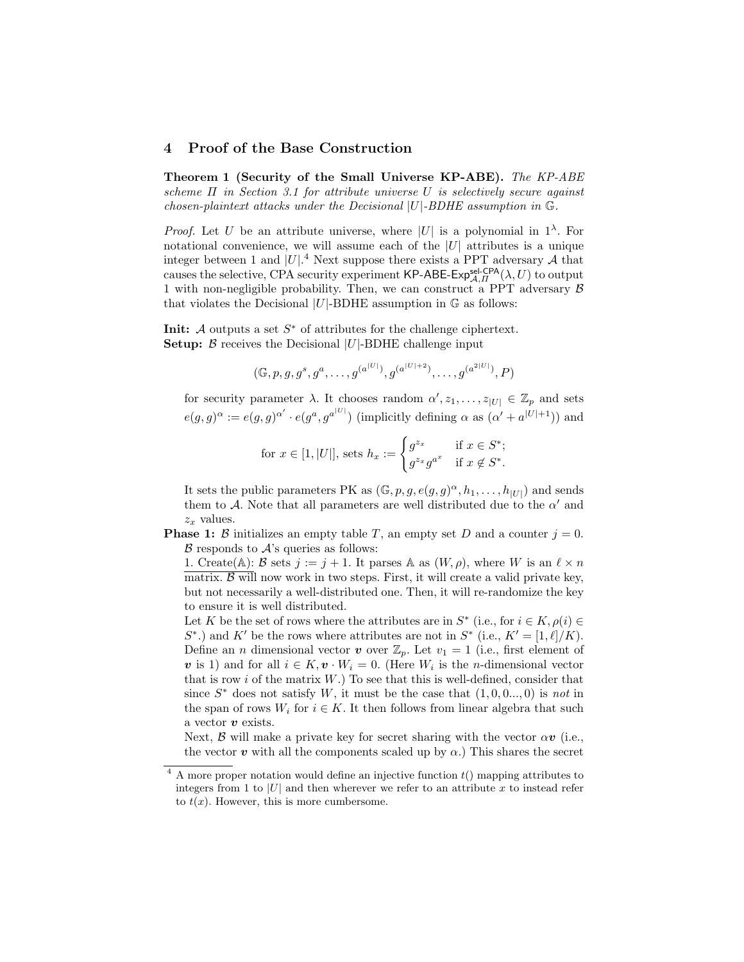# 4 Proof of the Base Construction

Theorem 1 (Security of the Small Universe KP-ABE). The KP-ABE scheme  $\Pi$  in Section 3.1 for attribute universe U is selectively secure against chosen-plaintext attacks under the Decisional  $|U|$ -BDHE assumption in  $\mathbb{G}$ .

*Proof.* Let U be an attribute universe, where  $|U|$  is a polynomial in  $1^{\lambda}$ . For notational convenience, we will assume each of the  $|U|$  attributes is a unique integer between 1 and  $|U|^4$  Next suppose there exists a PPT adversary A that causes the selective, CPA security experiment  $\mathsf{KP}\text{-}\mathsf{ABE}\text{-}\mathsf{Exp}_{\mathcal{A},\Pi}^{\mathsf{sel}\text{-}\mathsf{CPA}}(\lambda,U)$  to output 1 with non-negligible probability. Then, we can construct a PPT adversary  $\beta$ that violates the Decisional  $|U|$ -BDHE assumption in  $\mathbb{G}$  as follows:

**Init:**  $\mathcal A$  outputs a set  $S^*$  of attributes for the challenge ciphertext. **Setup:**  $\beta$  receives the Decisional  $|U|$ -BDHE challenge input

$$
(\mathbb{G},p,g,g^s,g^a,\ldots,g^{(a^{|U|})},g^{(a^{|U|+2})},\ldots,g^{(a^{2|U|})},P)
$$

for security parameter  $\lambda$ . It chooses random  $\alpha', z_1, \ldots, z_{|U|} \in \mathbb{Z}_p$  and sets  $e(g,g)^{\alpha} := e(g,g)^{\alpha'} \cdot e(g^a, g^{a^{|U|}})$  (implicitly defining  $\alpha$  as  $(\alpha' + a^{|U|+1})$ ) and

for 
$$
x \in [1, |U|]
$$
, sets  $h_x := \begin{cases} g^{z_x} & \text{if } x \in S^*; \\ g^{z_x} g^{a^x} & \text{if } x \notin S^*.\end{cases}$ 

It sets the public parameters PK as  $(\mathbb{G}, p, g, e(g, g)^{\alpha}, h_1, \ldots, h_{|U|})$  and sends them to A. Note that all parameters are well distributed due to the  $\alpha'$  and  $z_x$  values.

**Phase 1:** B initializes an empty table T, an empty set D and a counter  $j = 0$ .  $\beta$  responds to  $\mathcal{A}$ 's queries as follows:

1. Create(A): B sets  $j := j + 1$ . It parses A as  $(W, \rho)$ , where W is an  $\ell \times n$  $\overline{\text{matrix}}$ .  $\beta$  will now work in two steps. First, it will create a valid private key, but not necessarily a well-distributed one. Then, it will re-randomize the key to ensure it is well distributed.

Let K be the set of rows where the attributes are in  $S^*$  (i.e., for  $i \in K$ ,  $\rho(i) \in$  $S^*$ .) and K' be the rows where attributes are not in  $S^*$  (i.e.,  $K' = [1, \ell]/K$ ). Define an *n* dimensional vector **v** over  $\mathbb{Z}_p$ . Let  $v_1 = 1$  (i.e., first element of v is 1) and for all  $i \in K$ ,  $v \cdot W_i = 0$ . (Here  $W_i$  is the *n*-dimensional vector that is row  $i$  of the matrix  $W$ .) To see that this is well-defined, consider that since  $S^*$  does not satisfy W, it must be the case that  $(1,0,0...,0)$  is not in the span of rows  $W_i$  for  $i \in K$ . It then follows from linear algebra that such a vector  $v$  exists.

Next, B will make a private key for secret sharing with the vector  $\alpha v$  (i.e., the vector  $\boldsymbol{v}$  with all the components scaled up by  $\alpha$ .) This shares the secret

 $4$  A more proper notation would define an injective function  $t()$  mapping attributes to integers from 1 to  $|U|$  and then wherever we refer to an attribute x to instead refer to  $t(x)$ . However, this is more cumbersome.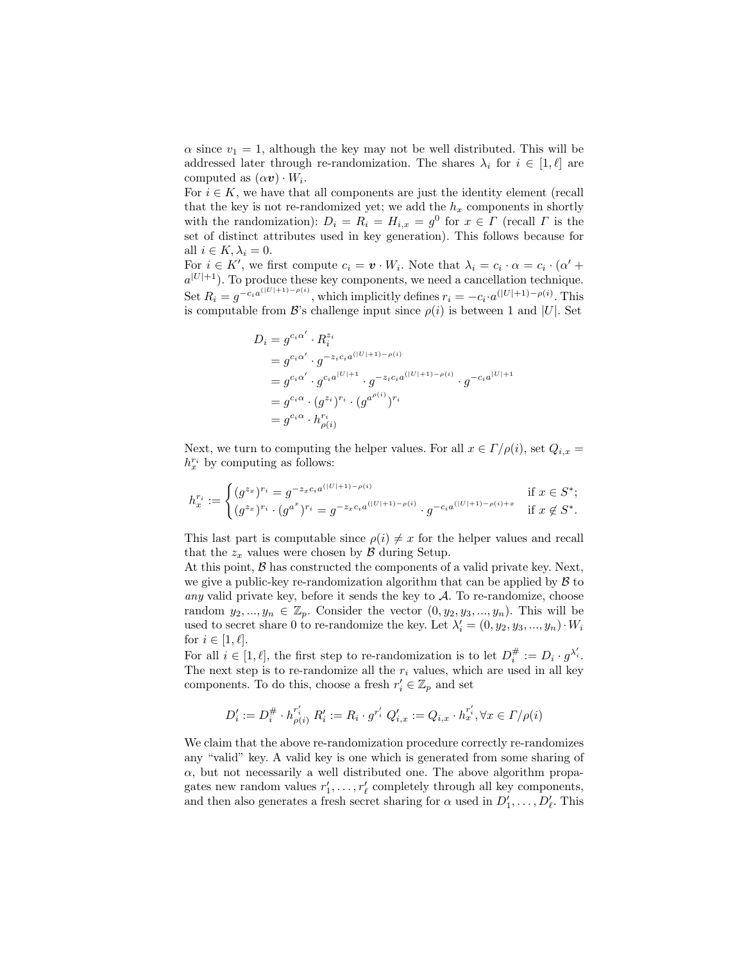$\alpha$  since  $v_1 = 1$ , although the key may not be well distributed. This will be addressed later through re-randomization. The shares  $\lambda_i$  for  $i \in [1, \ell]$  are computed as  $(\alpha v) \cdot W_i$ .

For  $i \in K$ , we have that all components are just the identity element (recall that the key is not re-randomized yet; we add the  $h_x$  components in shortly with the randomization):  $D_i = R_i = H_{i,x} = g^0$  for  $x \in \Gamma$  (recall  $\Gamma$  is the set of distinct attributes used in key generation). This follows because for all  $i \in K$ ,  $\lambda_i = 0$ .

For  $i \in K'$ , we first compute  $c_i = \boldsymbol{v} \cdot W_i$ . Note that  $\lambda_i = c_i \cdot \alpha = c_i \cdot (\alpha' + \alpha')$  $a^{|U|+1}$ ). To produce these key components, we need a cancellation technique. Set  $R_i = g^{-c_i a^{(|U|+1)-\rho(i)}}$ , which implicitly defines  $r_i = -c_i \cdot a^{(|U|+1)-\rho(i)}$ . This is computable from  $\mathcal{B}$ 's challenge input since  $\rho(i)$  is between 1 and |U|. Set

$$
D_i = g^{c_i \alpha'} \cdot R_i^{z_i}
$$
  
=  $g^{c_i \alpha'} \cdot g^{-z_i c_i a^{(|U|+1)-\rho(i)}}$   
=  $g^{c_i \alpha'} \cdot g^{c_i a^{|U|+1}} \cdot g^{-z_i c_i a^{(|U|+1)-\rho(i)}} \cdot g^{-c_i a^{|U|+1}}$   
=  $g^{c_i \alpha} \cdot (g^{z_i})^{r_i} \cdot (g^{a^{\rho(i)}})^{r_i}$   
=  $g^{c_i \alpha} \cdot h_{\rho(i)}^{r_i}$ 

Next, we turn to computing the helper values. For all  $x \in \Gamma/\rho(i)$ , set  $Q_{i,x} =$  $h_x^{r_i}$  by computing as follows:

$$
h_x^{r_i} := \begin{cases} (g^{z_x})^{r_i} = g^{-z_x c_i a^{(|U|+1)-\rho(i)}} & \text{if } x \in S^*; \\ (g^{z_x})^{r_i} \cdot (g^{a^x})^{r_i} = g^{-z_x c_i a^{(|U|+1)-\rho(i)}} \cdot g^{-c_i a^{(|U|+1)-\rho(i)+x}} & \text{if } x \notin S^*. \end{cases}
$$

This last part is computable since  $\rho(i) \neq x$  for the helper values and recall that the  $z_x$  values were chosen by  $\beta$  during Setup.

At this point,  $\beta$  has constructed the components of a valid private key. Next, we give a public-key re-randomization algorithm that can be applied by  $\beta$  to any valid private key, before it sends the key to  $A$ . To re-randomize, choose random  $y_2, ..., y_n \in \mathbb{Z}_p$ . Consider the vector  $(0, y_2, y_3, ..., y_n)$ . This will be used to secret share 0 to re-randomize the key. Let  $\lambda'_i = (0, y_2, y_3, ..., y_n) \cdot W_i$ for  $i \in [1, \ell].$ 

For all  $i \in [1, \ell]$ , the first step to re-randomization is to let  $D_i^{\#} := D_i \cdot g^{\lambda'_i}$ . The next step is to re-randomize all the  $r_i$  values, which are used in all key components. To do this, choose a fresh  $r'_i \in \mathbb{Z}_p$  and set

$$
D'_i := D_i^{\#} \cdot h_{\rho(i)}^{r'_i} \; R'_i := R_i \cdot g^{r'_i} \; Q'_{i,x} := Q_{i,x} \cdot h_x^{r'_i}, \forall x \in \Gamma / \rho(i)
$$

We claim that the above re-randomization procedure correctly re-randomizes any "valid" key. A valid key is one which is generated from some sharing of  $\alpha$ , but not necessarily a well distributed one. The above algorithm propagates new random values  $r'_1, \ldots, r'_\ell$  completely through all key components, and then also generates a fresh secret sharing for  $\alpha$  used in  $D'_1, \ldots, D'_{\ell}$ . This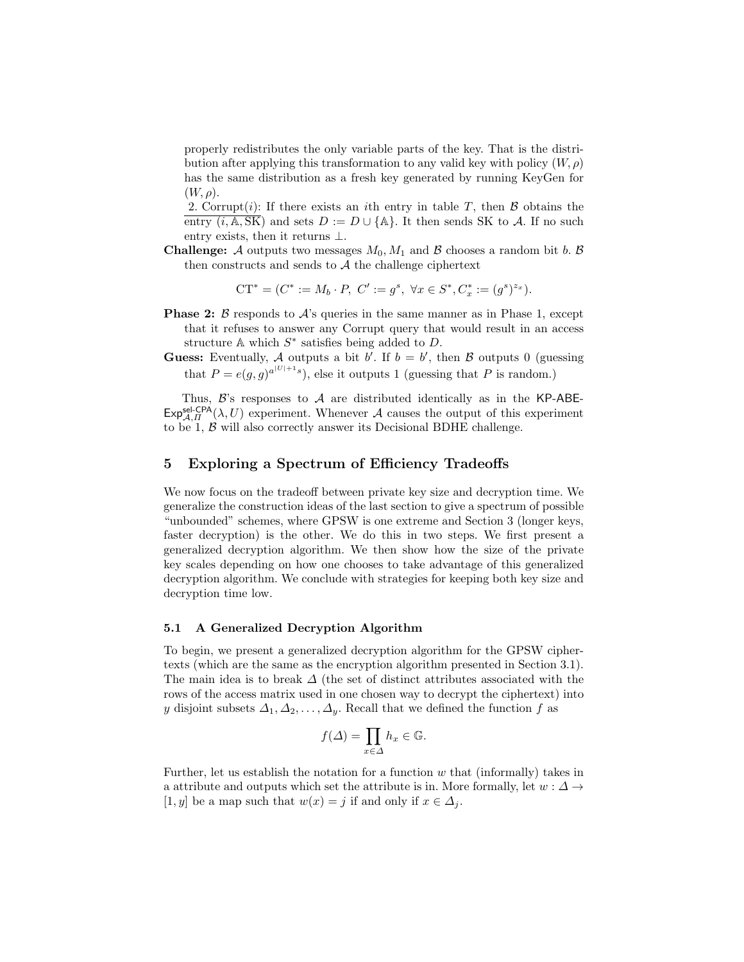properly redistributes the only variable parts of the key. That is the distribution after applying this transformation to any valid key with policy  $(W, \rho)$ has the same distribution as a fresh key generated by running KeyGen for  $(W, \rho)$ .

2. Corrupt(i): If there exists an ith entry in table T, then  $\beta$  obtains the entry  $(i, A, SK)$  and sets  $D := D \cup \{A\}$ . It then sends SK to A. If no such entry exists, then it returns ⊥.

**Challenge:** A outputs two messages  $M_0$ ,  $M_1$  and  $\beta$  chooses a random bit b.  $\beta$ then constructs and sends to  $A$  the challenge ciphertext

$$
CT^* = (C^* := M_b \cdot P, \ C' := g^s, \ \forall x \in S^*, C_x^* := (g^s)^{z_x}).
$$

- **Phase 2:** B responds to  $\mathcal{A}$ 's queries in the same manner as in Phase 1, except that it refuses to answer any Corrupt query that would result in an access structure  $A$  which  $S^*$  satisfies being added to  $D$ .
- **Guess:** Eventually, A outputs a bit b'. If  $b = b'$ , then B outputs 0 (guessing that  $P = e(g, g)^{a^{|U|+1}s}$ , else it outputs 1 (guessing that P is random.)

Thus,  $B$ 's responses to  $A$  are distributed identically as in the KP-ABE- $Exp_{\mathcal{A},\Pi}^{\text{sel-CPA}}(\lambda, U)$  experiment. Whenever A causes the output of this experiment to be  $1, B$  will also correctly answer its Decisional BDHE challenge.

## 5 Exploring a Spectrum of Efficiency Tradeoffs

We now focus on the tradeoff between private key size and decryption time. We generalize the construction ideas of the last section to give a spectrum of possible "unbounded" schemes, where GPSW is one extreme and Section 3 (longer keys, faster decryption) is the other. We do this in two steps. We first present a generalized decryption algorithm. We then show how the size of the private key scales depending on how one chooses to take advantage of this generalized decryption algorithm. We conclude with strategies for keeping both key size and decryption time low.

#### 5.1 A Generalized Decryption Algorithm

To begin, we present a generalized decryption algorithm for the GPSW ciphertexts (which are the same as the encryption algorithm presented in Section 3.1). The main idea is to break  $\Delta$  (the set of distinct attributes associated with the rows of the access matrix used in one chosen way to decrypt the ciphertext) into y disjoint subsets  $\Delta_1, \Delta_2, \ldots, \Delta_y$ . Recall that we defined the function f as

$$
f(\Delta) = \prod_{x \in \Delta} h_x \in \mathbb{G}.
$$

Further, let us establish the notation for a function  $w$  that (informally) takes in a attribute and outputs which set the attribute is in. More formally, let  $w : \Delta \rightarrow$ [1, y] be a map such that  $w(x) = j$  if and only if  $x \in \Delta_j$ .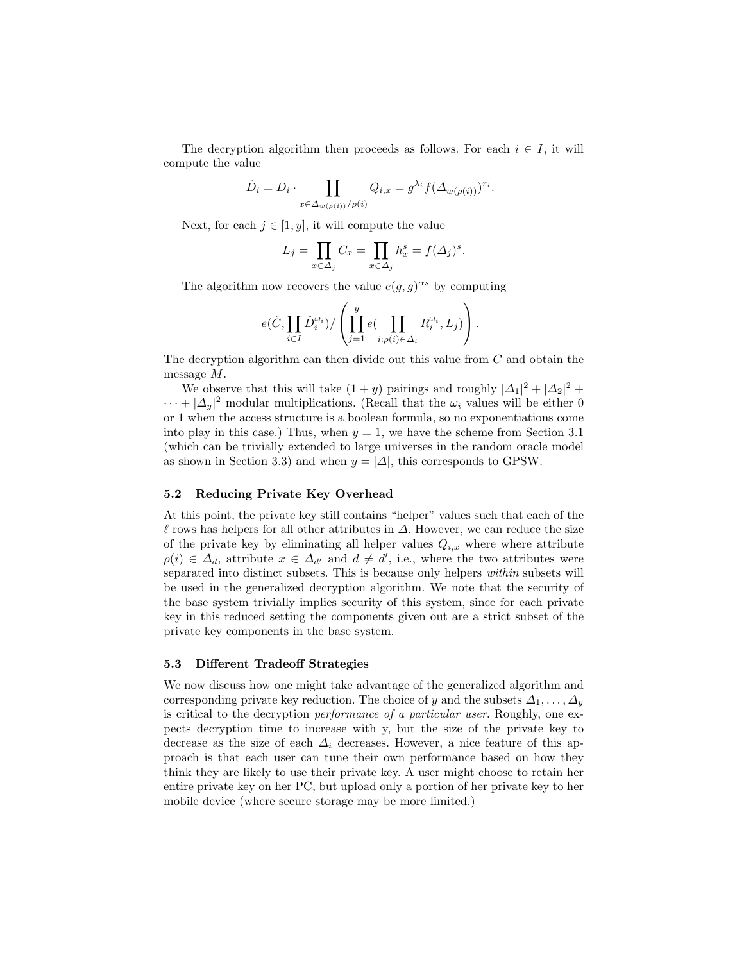The decryption algorithm then proceeds as follows. For each  $i \in I$ , it will compute the value

$$
\hat{D}_i = D_i \cdot \prod_{x \in \Delta_{w(\rho(i))}/\rho(i)} Q_{i,x} = g^{\lambda_i} f(\Delta_{w(\rho(i))})^{r_i}.
$$

Next, for each  $j \in [1, y]$ , it will compute the value

$$
L_j = \prod_{x \in \Delta_j} C_x = \prod_{x \in \Delta_j} h_x^s = f(\Delta_j)^s.
$$

The algorithm now recovers the value  $e(g, g)^{\alpha s}$  by computing

$$
e(\hat{C}, \prod_{i \in I} \hat{D}_i^{\omega_i}) / \left( \prod_{j=1}^y e(\prod_{i:\rho(i) \in \Delta_i} R_i^{\omega_i}, L_j) \right).
$$

The decryption algorithm can then divide out this value from C and obtain the message M.

We observe that this will take  $(1 + y)$  pairings and roughly  $|\Delta_1|^2 + |\Delta_2|^2 +$  $\cdots + |\Delta_y|^2$  modular multiplications. (Recall that the  $\omega_i$  values will be either 0 or 1 when the access structure is a boolean formula, so no exponentiations come into play in this case.) Thus, when  $y = 1$ , we have the scheme from Section 3.1 (which can be trivially extended to large universes in the random oracle model as shown in Section 3.3) and when  $y = |\Delta|$ , this corresponds to GPSW.

#### 5.2 Reducing Private Key Overhead

At this point, the private key still contains "helper" values such that each of the  $\ell$  rows has helpers for all other attributes in  $\Delta$ . However, we can reduce the size of the private key by eliminating all helper values  $Q_{i,x}$  where where attribute  $\rho(i) \in \Delta_d$ , attribute  $x \in \Delta_{d'}$  and  $d \neq d'$ , i.e., where the two attributes were separated into distinct subsets. This is because only helpers within subsets will be used in the generalized decryption algorithm. We note that the security of the base system trivially implies security of this system, since for each private key in this reduced setting the components given out are a strict subset of the private key components in the base system.

#### 5.3 Different Tradeoff Strategies

We now discuss how one might take advantage of the generalized algorithm and corresponding private key reduction. The choice of y and the subsets  $\Delta_1, \ldots, \Delta_y$ is critical to the decryption performance of a particular user. Roughly, one expects decryption time to increase with y, but the size of the private key to decrease as the size of each  $\Delta_i$  decreases. However, a nice feature of this approach is that each user can tune their own performance based on how they think they are likely to use their private key. A user might choose to retain her entire private key on her PC, but upload only a portion of her private key to her mobile device (where secure storage may be more limited.)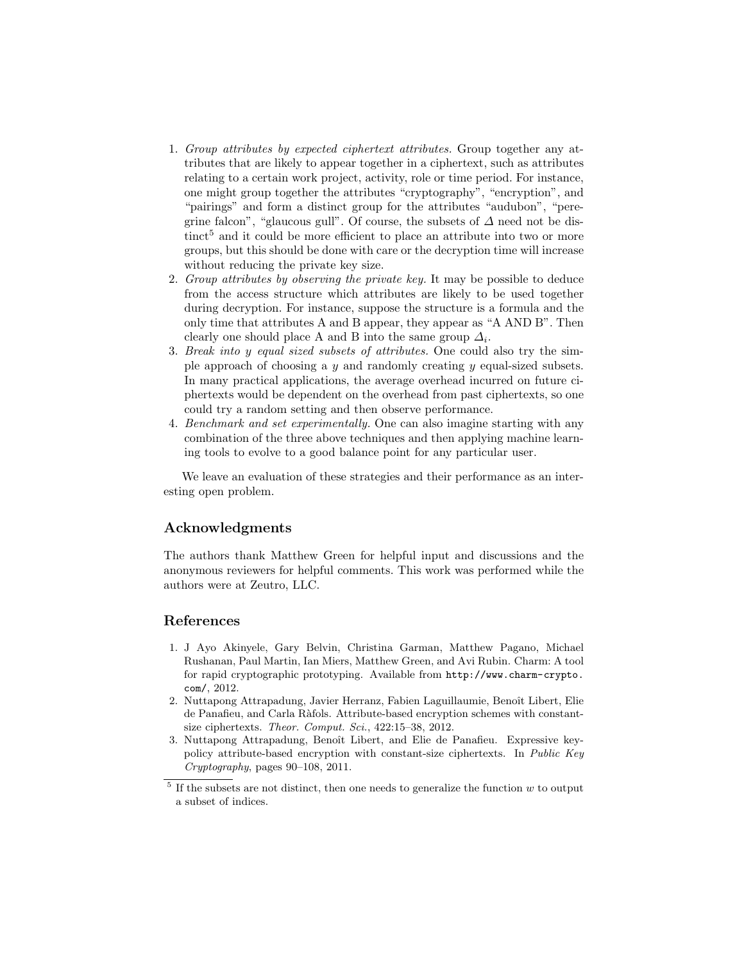- 1. Group attributes by expected ciphertext attributes. Group together any attributes that are likely to appear together in a ciphertext, such as attributes relating to a certain work project, activity, role or time period. For instance, one might group together the attributes "cryptography", "encryption", and "pairings" and form a distinct group for the attributes "audubon", "peregrine falcon", "glaucous gull". Of course, the subsets of  $\Delta$  need not be distinct<sup>5</sup> and it could be more efficient to place an attribute into two or more groups, but this should be done with care or the decryption time will increase without reducing the private key size.
- 2. Group attributes by observing the private key. It may be possible to deduce from the access structure which attributes are likely to be used together during decryption. For instance, suppose the structure is a formula and the only time that attributes A and B appear, they appear as "A AND B". Then clearly one should place A and B into the same group  $\Delta_i$ .
- 3. Break into y equal sized subsets of attributes. One could also try the simple approach of choosing a  $y$  and randomly creating  $y$  equal-sized subsets. In many practical applications, the average overhead incurred on future ciphertexts would be dependent on the overhead from past ciphertexts, so one could try a random setting and then observe performance.
- 4. Benchmark and set experimentally. One can also imagine starting with any combination of the three above techniques and then applying machine learning tools to evolve to a good balance point for any particular user.

We leave an evaluation of these strategies and their performance as an interesting open problem.

# Acknowledgments

The authors thank Matthew Green for helpful input and discussions and the anonymous reviewers for helpful comments. This work was performed while the authors were at Zeutro, LLC.

# References

- 1. J Ayo Akinyele, Gary Belvin, Christina Garman, Matthew Pagano, Michael Rushanan, Paul Martin, Ian Miers, Matthew Green, and Avi Rubin. Charm: A tool for rapid cryptographic prototyping. Available from http://www.charm-crypto. com/, 2012.
- 2. Nuttapong Attrapadung, Javier Herranz, Fabien Laguillaumie, Benoît Libert, Elie de Panafieu, and Carla R`afols. Attribute-based encryption schemes with constantsize ciphertexts. Theor. Comput. Sci., 422:15–38, 2012.
- 3. Nuttapong Attrapadung, Benoît Libert, and Elie de Panafieu. Expressive keypolicy attribute-based encryption with constant-size ciphertexts. In Public Key Cryptography, pages 90–108, 2011.

 $5$  If the subsets are not distinct, then one needs to generalize the function  $w$  to output a subset of indices.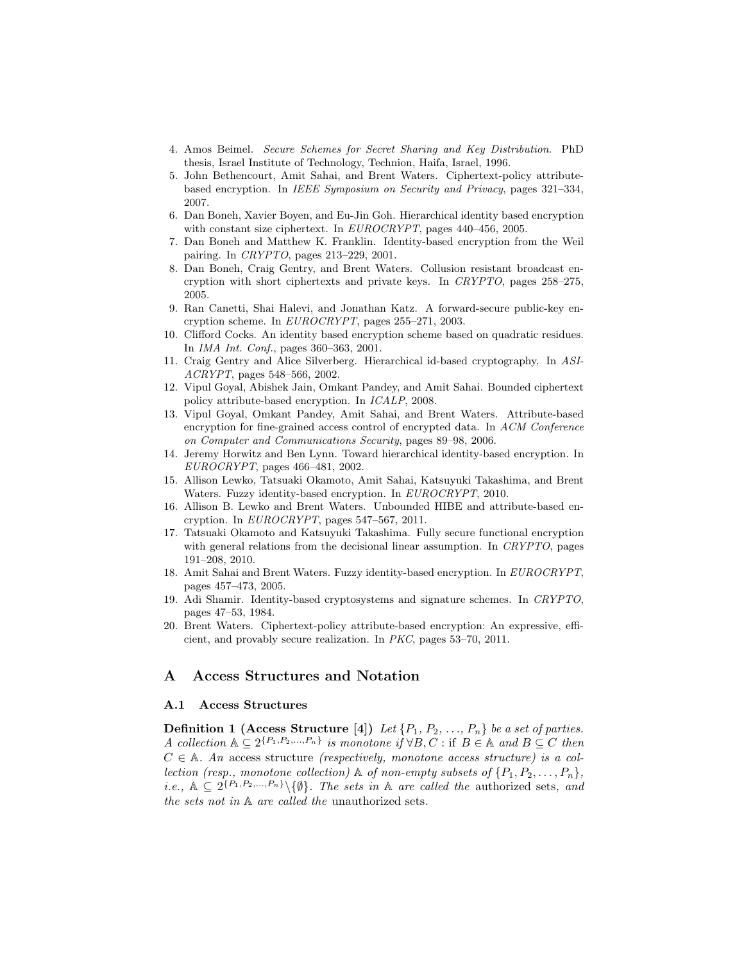- 4. Amos Beimel. Secure Schemes for Secret Sharing and Key Distribution. PhD thesis, Israel Institute of Technology, Technion, Haifa, Israel, 1996.
- 5. John Bethencourt, Amit Sahai, and Brent Waters. Ciphertext-policy attributebased encryption. In IEEE Symposium on Security and Privacy, pages 321–334, 2007.
- 6. Dan Boneh, Xavier Boyen, and Eu-Jin Goh. Hierarchical identity based encryption with constant size ciphertext. In EUROCRYPT, pages 440–456, 2005.
- 7. Dan Boneh and Matthew K. Franklin. Identity-based encryption from the Weil pairing. In CRYPTO, pages 213–229, 2001.
- 8. Dan Boneh, Craig Gentry, and Brent Waters. Collusion resistant broadcast encryption with short ciphertexts and private keys. In CRYPTO, pages 258–275, 2005.
- 9. Ran Canetti, Shai Halevi, and Jonathan Katz. A forward-secure public-key encryption scheme. In EUROCRYPT, pages 255–271, 2003.
- 10. Clifford Cocks. An identity based encryption scheme based on quadratic residues. In IMA Int. Conf., pages 360–363, 2001.
- 11. Craig Gentry and Alice Silverberg. Hierarchical id-based cryptography. In ASI-ACRYPT, pages 548–566, 2002.
- 12. Vipul Goyal, Abishek Jain, Omkant Pandey, and Amit Sahai. Bounded ciphertext policy attribute-based encryption. In ICALP, 2008.
- 13. Vipul Goyal, Omkant Pandey, Amit Sahai, and Brent Waters. Attribute-based encryption for fine-grained access control of encrypted data. In ACM Conference on Computer and Communications Security, pages 89–98, 2006.
- 14. Jeremy Horwitz and Ben Lynn. Toward hierarchical identity-based encryption. In EUROCRYPT, pages 466–481, 2002.
- 15. Allison Lewko, Tatsuaki Okamoto, Amit Sahai, Katsuyuki Takashima, and Brent Waters. Fuzzy identity-based encryption. In EUROCRYPT, 2010.
- 16. Allison B. Lewko and Brent Waters. Unbounded HIBE and attribute-based encryption. In EUROCRYPT, pages 547–567, 2011.
- 17. Tatsuaki Okamoto and Katsuyuki Takashima. Fully secure functional encryption with general relations from the decisional linear assumption. In CRYPTO, pages 191–208, 2010.
- 18. Amit Sahai and Brent Waters. Fuzzy identity-based encryption. In EUROCRYPT, pages 457–473, 2005.
- 19. Adi Shamir. Identity-based cryptosystems and signature schemes. In CRYPTO, pages 47–53, 1984.
- 20. Brent Waters. Ciphertext-policy attribute-based encryption: An expressive, efficient, and provably secure realization. In PKC, pages 53–70, 2011.

# A Access Structures and Notation

#### A.1 Access Structures

**Definition 1 (Access Structure [4])** Let  $\{P_1, P_2, ..., P_n\}$  be a set of parties. A collection  $A \subseteq 2^{\{P_1, P_2, ..., P_n\}}$  is monotone if  $\forall B, C$ : if  $B \in A$  and  $B \subseteq C$  then  $C \in A$ . An access structure (respectively, monotone access structure) is a collection (resp., monotone collection) A of non-empty subsets of  $\{P_1, P_2, \ldots, P_n\}$ , *i.e.*,  $A \subseteq 2^{\{P_1, P_2, ..., P_n\}} \setminus \{\emptyset\}$ . The sets in A are called the authorized sets, and the sets not in A are called the unauthorized sets.